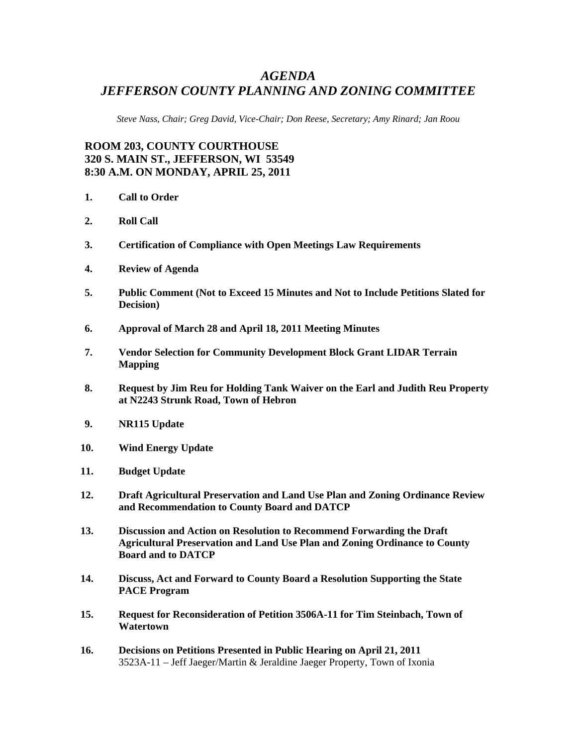## *AGENDA JEFFERSON COUNTY PLANNING AND ZONING COMMITTEE*

*Steve Nass, Chair; Greg David, Vice-Chair; Don Reese, Secretary; Amy Rinard; Jan Roou* 

## **ROOM 203, COUNTY COURTHOUSE 320 S. MAIN ST., JEFFERSON, WI 53549 8:30 A.M. ON MONDAY, APRIL 25, 2011**

- **1. Call to Order**
- **2. Roll Call**
- **3. Certification of Compliance with Open Meetings Law Requirements**
- **4. Review of Agenda**
- **5. Public Comment (Not to Exceed 15 Minutes and Not to Include Petitions Slated for Decision)**
- **6. Approval of March 28 and April 18, 2011 Meeting Minutes**
- **7. Vendor Selection for Community Development Block Grant LIDAR Terrain Mapping**
- **8. Request by Jim Reu for Holding Tank Waiver on the Earl and Judith Reu Property at N2243 Strunk Road, Town of Hebron**
- **9. NR115 Update**
- **10. Wind Energy Update**
- **11. Budget Update**
- **12. Draft Agricultural Preservation and Land Use Plan and Zoning Ordinance Review and Recommendation to County Board and DATCP**
- **13. Discussion and Action on Resolution to Recommend Forwarding the Draft Agricultural Preservation and Land Use Plan and Zoning Ordinance to County Board and to DATCP**
- **14. Discuss, Act and Forward to County Board a Resolution Supporting the State PACE Program**
- **15. Request for Reconsideration of Petition 3506A-11 for Tim Steinbach, Town of Watertown**
- **16. Decisions on Petitions Presented in Public Hearing on April 21, 2011** 3523A-11 – Jeff Jaeger/Martin & Jeraldine Jaeger Property, Town of Ixonia